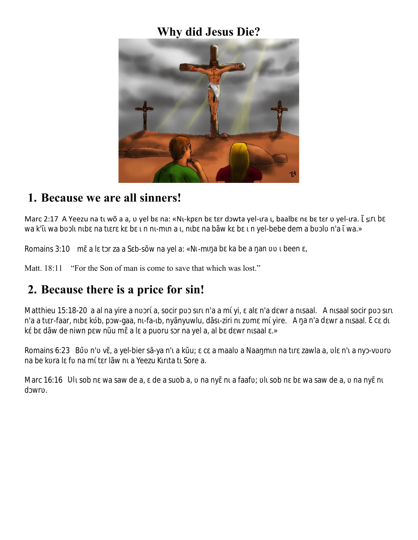### **Why did Jesus Die?**



#### **1. Because we are all sinners!**

Marc 2:17 A Yeezu na tī wõ a a, v yel bɛ na: «Nī-kpɛn bɛ tɛr dɔwta yel-īra ī, baalbɛ nɛ bɛ tɛr v yel-īra. Ls r b wa k' wa b In b na t r k b n n -m n a , n b n a bãw k b n yel-bebe dem a b I n'a wa.»

Romains 3:10 m altrza a Sb-sõw na yela: «N -m a b ka be a an been,

Matt. 18:11 "For the Son of man is come to save that which was lost."

# **2. Because there is a price for sin!**

Matthieu 15:18-20 a al na yire a n r a, socir p s r n'a a m yi, al n'a d wr a n saal. A n saal socir p s r n'a a t r-faar, n b k b, p w-gaa, n -fa- b, nyãnyuwlu, dãs -ziri n z m m yire. A a n'a d wr a n saal. c d k b dãw de niwn p w n u m a l a puoru s r na yel a, al b d wr n saal .»

Romains 6:23 B n'v, a yel-bier sã-ya n'a kū; c a maal a Naamnna tr zawla a, In'any -v r na be k ral f na m t r lãw n a Yeezu K r ta t Sore a.

Marc 16:16  $\;$  I sob n wa saw de a, de a suob a, na ny n a faaf ; l sob n b wa saw de a, na ny n d wr .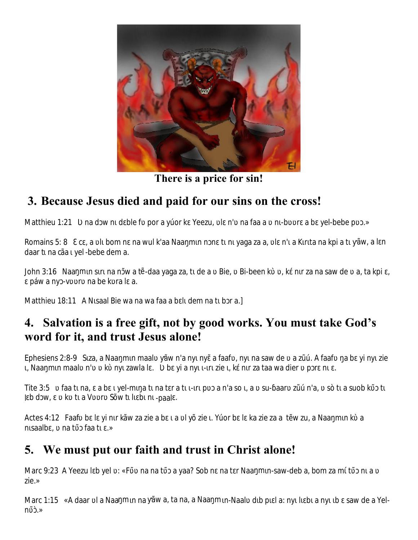

**There is a price for sin!**

# **3. Because Jesus died and paid for our sins on the cross!**

Matthieu 1:21 nad w n d ble f por a yúor k Yeezu, I n' na faa a n -b r a b yel-bebe p .»

Romains 5: 8 c, a lbom n na wul k'aa Naamnn t n yaga za a, l n' a K r ta na kpi a t ãw, a l n daar t na cãa yel-bebe dem a.

John 3:16 Naam n s r na n w a t -daa yaga za, t de a Bie, Bi-been k, k n r za na saw de a, ta kpi, páw a ny -v r na bek rala.

Matthieu 18:11 A N saal Bie wa na wa faa a b I dem na t b r a.]

# **4. Salvation is a free gift, not by good works. You must take God's word for it, and trust Jesus alone!**

Ephesiens 2:8-9 S za, a Naamn maal ãw n'a ny ny a faaf, ny na saw de a zú. A faaf a b yi ny zie , Naa m n maal n' k ny zawla l. byi a ny -r zie, k n r za taa wa dier p r n.

Tite 3:5 faat na, ab yel-m at natrat -r p a n'a so a su-aar zún'a, sò t a suob k t Ibdw, ktaV r Sõwtlbn-paal.

Actes 4:12 Faaf b l yin r kãw za zie a b a lyõ zie . Yúor b l ka zie za a t w zu, a Naamnka n saalb, na t faa t .»

### **5. We must put our faith and trust in Christ alone!**

Marc 9:23 A Yeezu I b yel : «F na na t a yaa? Sob n na t r Naa m n-saw-deb a, bom za m t n a zie.»

Marc 1:15 «A daar la Naam n na ãw a, ta na, a Naam n-Naal d b p la: ny l b a ny b saw de a Yelnʋ̃ɔ̀.»